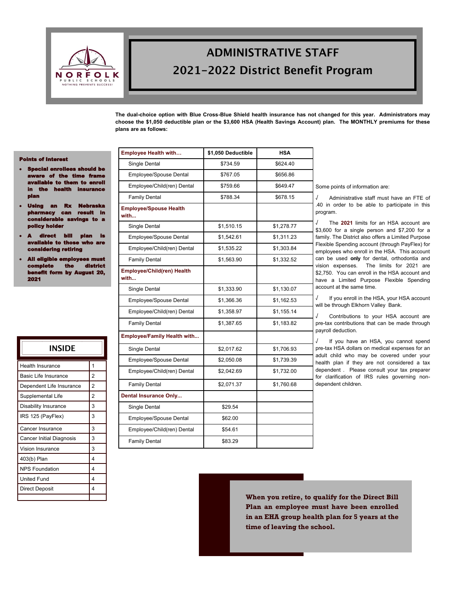

# **ADMINISTRATIVE STAFF** 2021-2022 District Benefit Program

**The dual-choice option with Blue Cross-Blue Shield health insurance has not changed for this year. Administrators may choose the \$1,050 deductible plan or the \$3,600 HSA (Health Savings Account) plan. The MONTHLY premiums for these plans are as follows:**

#### Points of Interest

- ecial enrollees should be re of the time fran ilable to them to enroll in the health insurance plan
- Using an Rx Nebraska pharmacy can result in considerable savings to a policy holder
- ${\bf c}$ t bill plan is ble to those who are considering retiring
- All eligible employees must complete the district rm by August 20, 2021

| INSIDE                          |                |
|---------------------------------|----------------|
| <b>Health Insurance</b>         | 1              |
| <b>Basic Life Insurance</b>     | $\overline{2}$ |
| Dependent Life Insurance        | $\overline{2}$ |
| Supplemental Life               | $\overline{2}$ |
| <b>Disability Insurance</b>     | 3              |
| IRS 125 (PayFlex)               | 3              |
| Cancer Insurance                | 3              |
| <b>Cancer Initial Diagnosis</b> | 3              |
| <b>Vision Insurance</b>         | 3              |
| 403(b) Plan                     | 4              |
| <b>NPS Foundation</b>           | 4              |
| <b>United Fund</b>              | 4              |
| <b>Direct Deposit</b>           | $\overline{4}$ |
|                                 |                |

| Single Dental                         | \$734.59   | \$624.40   |
|---------------------------------------|------------|------------|
| Employee/Spouse Dental                | \$767.05   | \$656.86   |
| Employee/Child(ren) Dental            | \$759.66   | \$649.47   |
| <b>Family Dental</b>                  | \$788.34   | \$678.15   |
| <b>Employee/Spouse Health</b><br>with |            |            |
| Single Dental                         | \$1,510.15 | \$1,278.77 |
| Employee/Spouse Dental                | \$1,542.61 | \$1,311.23 |
| Employee/Child(ren) Dental            | \$1,535.22 | \$1,303.84 |
| <b>Family Dental</b>                  | \$1,563.90 | \$1,332.52 |
| Employee/Child(ren) Health<br>with    |            |            |
| Single Dental                         | \$1,333.90 | \$1,130.07 |
| Employee/Spouse Dental                | \$1,366.36 | \$1,162.53 |
| Employee/Child(ren) Dental            | \$1,358.97 | \$1,155.14 |
| <b>Family Dental</b>                  | \$1,387.65 | \$1,183.82 |
| <b>Employee/Family Health with</b>    |            |            |
| Single Dental                         | \$2,017.62 | \$1,706.93 |
| Employee/Spouse Dental                | \$2,050.08 | \$1,739.39 |
| Employee/Child(ren) Dental            | \$2,042.69 | \$1,732.00 |
| <b>Family Dental</b>                  | \$2,071.37 | \$1,760.68 |
| <b>Dental Insurance Only</b>          |            |            |
| Single Dental                         | \$29.54    |            |
| Employee/Spouse Dental                | \$62.00    |            |
| Employee/Child(ren) Dental            | \$54.61    |            |
| <b>Family Dental</b>                  | \$83.29    |            |

**Employee Health with… \$1,050 Deductible HSA**

oints of information are:

√ Administrative staff must have an FTE of order to be able to participate in this program.

he **2021** limits for an HSA account are for a single person and  $$7,200$  for a The District also offers a Limited Purpose Spending account (through PayFlex) for ees who enroll in the HSA. This account used only for dental, orthodontia and expenses. The limits for 2021 are You can enroll in the HSA account and Limited Purpose Flexible Spending at the same time.

you enroll in the HSA, your HSA account through Elkhorn Valley Bank.

√ Contributions to your HSA account are contributions that can be made through deduction.

you have an HSA, you cannot spend HSA dollars on medical expenses for an hild who may be covered under your plan if they are not considered a tax lent . Please consult your tax preparer rification of IRS rules governing nonlent children.

**When you retire, to qualify for the Direct Bill Plan an employee must have been enrolled in an EHA group health plan for 5 years at the time of leaving the school.**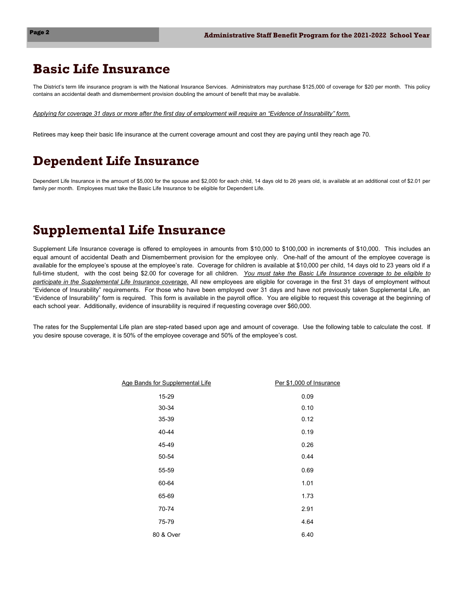## **Basic Life Insurance**

The District's term life insurance program is with the National Insurance Services. Administrators may purchase \$125,000 of coverage for \$20 per month. This policy contains an accidental death and dismemberment provision doubling the amount of benefit that may be available.

*Applying for coverage 31 days or more after the first day of employment will require an "Evidence of Insurability" form.* 

Retirees may keep their basic life insurance at the current coverage amount and cost they are paying until they reach age 70.

## **Dependent Life Insurance**

Dependent Life Insurance in the amount of \$5,000 for the spouse and \$2,000 for each child, 14 days old to 26 years old, is available at an additional cost of \$2.01 per family per month. Employees must take the Basic Life Insurance to be eligible for Dependent Life.

### **Supplemental Life Insurance**

Supplement Life Insurance coverage is offered to employees in amounts from \$10,000 to \$100,000 in increments of \$10,000. This includes an equal amount of accidental Death and Dismemberment provision for the employee only. One-half of the amount of the employee coverage is available for the employee's spouse at the employee's rate. Coverage for children is available at \$10,000 per child, 14 days old to 23 years old if a full-time student, with the cost being \$2.00 for coverage for all children. *You must take the Basic Life Insurance coverage to be eligible to participate in the Supplemental Life Insurance coverage.* All new employees are eligible for coverage in the first 31 days of employment without "Evidence of Insurability" requirements. For those who have been employed over 31 days and have not previously taken Supplemental Life, an "Evidence of Insurability" form is required. This form is available in the payroll office. You are eligible to request this coverage at the beginning of each school year. Additionally, evidence of insurability is required if requesting coverage over \$60,000.

The rates for the Supplemental Life plan are step-rated based upon age and amount of coverage. Use the following table to calculate the cost. If you desire spouse coverage, it is 50% of the employee coverage and 50% of the employee's cost.

| Age Bands for Supplemental Life | Per \$1,000 of Insurance |
|---------------------------------|--------------------------|
| 15-29                           | 0.09                     |
| 30-34                           | 0.10                     |
| 35-39                           | 0.12                     |
| 40-44                           | 0.19                     |
| 45-49                           | 0.26                     |
| 50-54                           | 0.44                     |
| 55-59                           | 0.69                     |
| 60-64                           | 1.01                     |
| 65-69                           | 1.73                     |
| 70-74                           | 2.91                     |
| 75-79                           | 4.64                     |
| 80 & Over                       | 6.40                     |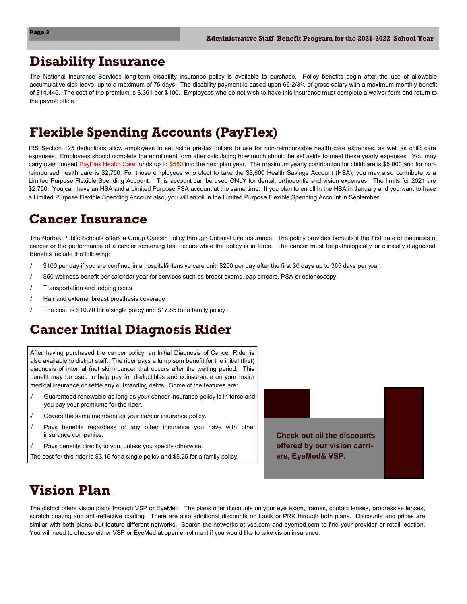## **Disability Insurance**

The National Insurance Services long-term disability insurance policy is available to purchase. Policy benefits begin after the use of allowable accumulative sick leave, up to a maximum of 75 days. The disability payment is based upon 66 2/3% of gross salary with a maximum monthly benefit of \$14,445. The cost of the premium is \$.361 per \$100. Employees who do not wish to have this insurance must complete a waiver form and return to the payroll office.

## **Flexible Spending Accounts (PayFlex)**

IRS Section 125 deductions allow employees to set aside pre-tax dollars to use for non-reimbursable health care expenses, as well as child care expenses. Employees should complete the enrollment form after calculating how much should be set aside to meet these yearly expenses. You may carry over unused PayFlex Health Care funds up to \$550 into the next plan year. The maximum yearly contribution for childcare is \$5,000 and for nonreimbursed health care is \$2,750. For those employees who elect to take the \$3,600 Health Savings Account (HSA), you may also contribute to a Limited Purpose Flexible Spending Account. This account can be used ONLY for dental, orthodontia and vision expenses. The limits for 2021 are \$2,750. You can have an HSA and a Limited Purpose FSA account at the same time. If you plan to enroll in the HSA in January and you want to have a Limited Purpose Flexible Spending Account also, you will enroll in the Limited Purpose Flexible Spending Account in September.

### **Cancer Insurance**

The Norfolk Public Schools offers a Group Cancer Policy through Colonial Life Insurance. The policy provides benefits if the first date of diagnosis of cancer or the performance of a cancer screening test occurs while the policy is in force. The cancer must be pathologically or clinically diagnosed. Benefits include the following:

- √ \$100 per day if you are confined in a hospital/intensive care unit; \$200 per day after the first 30 days up to 365 days per year.
- √ \$50 wellness benefit per calendar year for services such as breast exams, pap smears, PSA or colonoscopy.
- Transportation and lodging costs.
- √ Hair and external breast prosthesis coverage
- The cost is \$10.70 for a single policy and \$17.85 for a family policy.

# **Cancer Initial Diagnosis Rider**

After having purchased the cancer policy, an Initial Diagnosis of Cancer Rider is also available to district staff. The rider pays a lump sum benefit for the initial (first) diagnosis of internal (not skin) cancer that occurs after the waiting period. This benefit may be used to help pay for deductibles and coinsurance on your major medical insurance or settle any outstanding debts. Some of the features are:

- √ Guaranteed renewable as long as your cancer insurance policy is in force and you pay your premiums for the rider.
- √ Covers the same members as your cancer insurance policy.
- Pays benefits regardless of any other insurance you have with other insurance companies.
- Pays benefits directly to you, unless you specify otherwise.
- The cost for this rider is \$3.15 for a single policy and \$5.25 for a family policy.



# **Vision Plan**

The district offers vision plans through VSP or EyeMed. The plans offer discounts on your eye exam, frames, contact lenses, progressive lenses, scratch coating and anti-reflective coating. There are also additional discounts on Lasik or PRK through both plans. Discounts and prices are similar with both plans, but feature different networks. Search the networks at vsp.com and eyemed.com to find your provider or retail location. You will need to choose either VSP or EyeMed at open enrollment if you would like to take vision insurance.